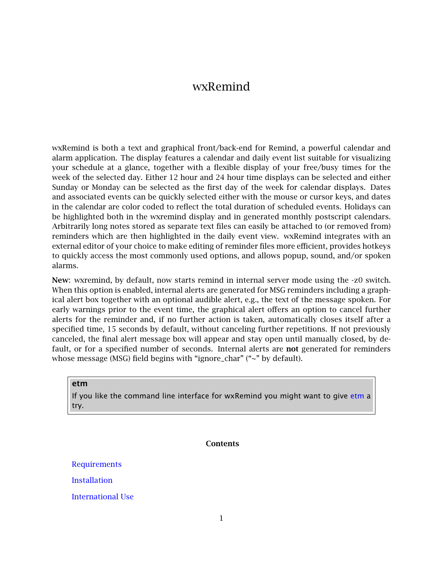# wxRemind

wxRemind is both a text and graphical front/back-end for Remind, a powerful calendar and alarm application. The display features a calendar and daily event list suitable for visualizing your schedule at a glance, together with a flexible display of your free/busy times for the week of the selected day. Either 12 hour and 24 hour time displays can be selected and either Sunday or Monday can be selected as the first day of the week for calendar displays. Dates and associated events can be quickly selected either with the mouse or cursor keys, and dates in the calendar are color coded to reflect the total duration of scheduled events. Holidays can be highlighted both in the wxremind display and in generated monthly postscript calendars. Arbitrarily long notes stored as separate text files can easily be attached to (or removed from) reminders which are then highlighted in the daily event view. wxRemind integrates with an external editor of your choice to make editing of reminder files more efficient, provides hotkeys to quickly access the most commonly used options, and allows popup, sound, and/or spoken alarms.

New: wxremind, by default, now starts remind in internal server mode using the -z0 switch. When this option is enabled, internal alerts are generated for MSG reminders including a graphical alert box together with an optional audible alert, e.g., the text of the message spoken. For early warnings prior to the event time, the graphical alert offers an option to cancel further alerts for the reminder and, if no further action is taken, automatically closes itself after a specified time, 15 seconds by default, without canceling further repetitions. If not previously canceled, the final alert message box will appear and stay open until manually closed, by default, or for a specified number of seconds. Internal alerts are **not** generated for reminders whose message (MSG) field begins with "ignore\_char" ("~" by default).

etm

If you like the command line interface for wxRemind you might want to give [etm](http://www.duke.edu/~dgraham/ETM/) a try.

**Contents** 

[Requirements](#page-1-0) [Installation](#page-1-1)

[International Use](#page-2-0)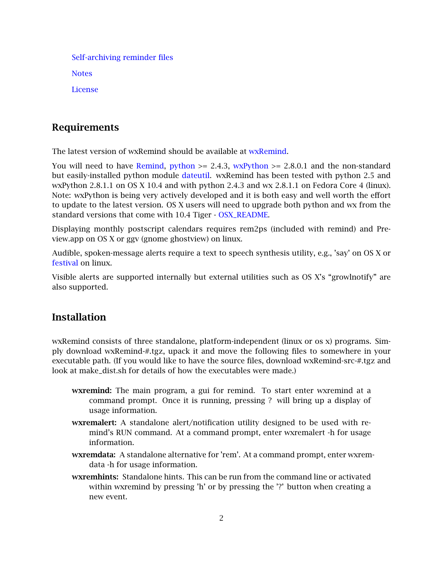[Self-archiving reminder files](#page-3-0) **[Notes](#page-4-0)** [License](#page-5-0)

# <span id="page-1-0"></span>Requirements

The latest version of wxRemind should be available at [wxRemind.](http://www.duke.edu/~dgraham/wxRemind)

You will need to have [Remind,](http://www.roaringpenguin.com/penguin/open_source_remind.php) [python](http://www.python.org/download/)  $\ge$  2.4.3, [wxPython](http://www.wxpython.org/)  $\ge$  2.8.0.1 and the non-standard but easily-installed python module [dateutil.](http://labix.org/python-dateutil) wxRemind has been tested with python 2.5 and wxPython 2.8.1.1 on OS X 10.4 and with python 2.4.3 and wx 2.8.1.1 on Fedora Core 4 (linux). Note: wxPython is being very actively developed and it is both easy and well worth the effort to update to the latest version. OS X users will need to upgrade both python and wx from the standard versions that come with 10.4 Tiger - [OSX\\_README.](http://www.duke.edu/~dgraham/wxRemind/OSX-README)

Displaying monthly postscript calendars requires rem2ps (included with remind) and Preview.app on OS X or ggv (gnome ghostview) on linux.

Audible, spoken-message alerts require a text to speech synthesis utility, e.g., 'say' on OS X or [festival](http://www.cstr.ed.ac.uk/projects/festival) on linux.

<span id="page-1-1"></span>Visible alerts are supported internally but external utilities such as OS X's "growlnotify" are also supported.

# **Installation**

wxRemind consists of three standalone, platform-independent (linux or os x) programs. Simply download wxRemind-#.tgz, upack it and move the following files to somewhere in your executable path. (If you would like to have the source files, download wxRemind-src-#.tgz and look at make\_dist.sh for details of how the executables were made.)

- wxremind: The main program, a gui for remind. To start enter wxremind at a command prompt. Once it is running, pressing ? will bring up a display of usage information.
- wxremalert: A standalone alert/notification utility designed to be used with remind's RUN command. At a command prompt, enter wxremalert -h for usage information.
- wxremdata: A standalone alternative for 'rem'. At a command prompt, enter wxremdata -h for usage information.
- wxremhints: Standalone hints. This can be run from the command line or activated within wxremind by pressing 'h' or by pressing the '?' button when creating a new event.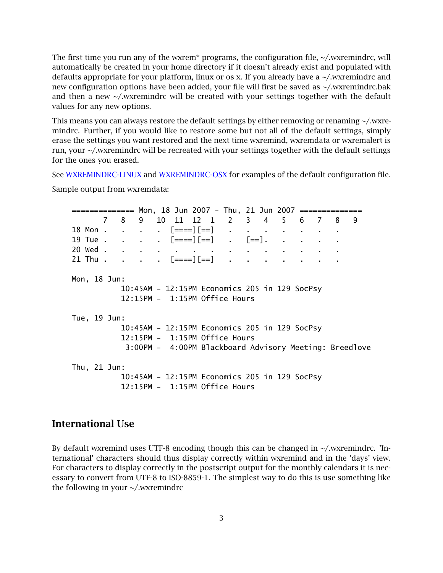The first time you run any of the wxrem\* programs, the configuration file,  $\sim$ /.wxremindrc, will automatically be created in your home directory if it doesn't already exist and populated with defaults appropriate for your platform, linux or os x. If you already have a ~/.wxremindrc and new configuration options have been added, your file will first be saved as ~/.wxremindrc.bak and then a new  $\sim$ /.wxremindrc will be created with your settings together with the default values for any new options.

This means you can always restore the default settings by either removing or renaming ~/.wxremindrc. Further, if you would like to restore some but not all of the default settings, simply erase the settings you want restored and the next time wxremind, wxremdata or wxremalert is run, your ~/.wxremindrc will be recreated with your settings together with the default settings for the ones you erased.

See [WXREMINDRC-LINUX](http://www.duke.edu/~dgraham/wxRemind/WXREMINDRC-LINUX) and [WXREMINDRC-OSX](http://www.duke.edu/~dgraham/wxRemind/WXREMINDRC-OSX) for examples of the default configuration file.

Sample output from wxremdata:

============== Mon, 18 Jun 2007 - Thu, 21 Jun 2007 ============== 7 8 9 10 11 12 1 2 3 4 5 6 7 8 9 18 Mon . . . .  $[==][==]$ 19 Tue . . . . [====][==] . [==]. . . . . 20 Wed . 21 Thu . . . .  $[==][==]$ Mon, 18 Jun: 10:45AM - 12:15PM Economics 205 in 129 SocPsy 12:15PM - 1:15PM Office Hours Tue, 19 Jun: 10:45AM - 12:15PM Economics 205 in 129 SocPsy 12:15PM - 1:15PM Office Hours 3:00PM - 4:00PM Blackboard Advisory Meeting: Breedlove Thu, 21 Jun: 10:45AM - 12:15PM Economics 205 in 129 SocPsy 12:15PM - 1:15PM Office Hours

#### <span id="page-2-0"></span>International Use

By default wxremind uses UTF-8 encoding though this can be changed in  $\sim$ /wxremindrc. 'International' characters should thus display correctly within wxremind and in the 'days' view. For characters to display correctly in the postscript output for the monthly calendars it is necessary to convert from UTF-8 to ISO-8859-1. The simplest way to do this is use something like the following in your ~/.wxremindrc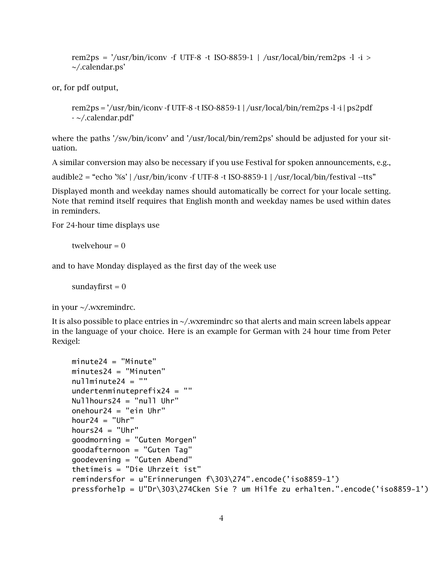rem2ps =  $\frac{7}{\pi}$  /usr/bin/iconv -f UTF-8 -t ISO-8859-1 | /usr/local/bin/rem2ps -l -i > ~/.calendar.ps'

or, for pdf output,

```
rem2ps = \frac{\gamma}{\sigma} /usr/bin/iconv -f UTF-8 -t ISO-8859-1 | /usr/local/bin/rem2ps -l -i | ps2pdf
- ~/.calendar.pdf'
```
where the paths '/sw/bin/iconv' and '/usr/local/bin/rem2ps' should be adjusted for your situation.

A similar conversion may also be necessary if you use Festival for spoken announcements, e.g.,

audible2 = "echo '%s' | /usr/bin/iconv -f UTF-8 -t ISO-8859-1 | /usr/local/bin/festival --tts"

Displayed month and weekday names should automatically be correct for your locale setting. Note that remind itself requires that English month and weekday names be used within dates in reminders.

For 24-hour time displays use

twelvehour  $= 0$ 

and to have Monday displayed as the first day of the week use

sundayfirst  $= 0$ 

in your ~/.wxremindrc.

It is also possible to place entries in ~/.wxremindrc so that alerts and main screen labels appear in the language of your choice. Here is an example for German with 24 hour time from Peter Rexigel:

```
minute24 = "Minute"minutes24 = "Minuten"
nullminute24 = ""
undertenminuteprefix24 = ""
Nullhours24 = "null Uhr"
onehour24 = "ein Uhr"
hour24 = "Uhr"hours24 = "Uhr"
goodmorning = "Guten Morgen"
goodafternoon = "Guten Tag"
goodevening = "Guten Abend"
thetimeis = "Die Uhrzeit ist"
remindersfor = u"Erinnerungen f\303\274".encode('iso8859-1')
pressforhelp = U"Dr\303\274Cken Sie ? um Hilfe zu erhalten.".encode('iso8859-1')
```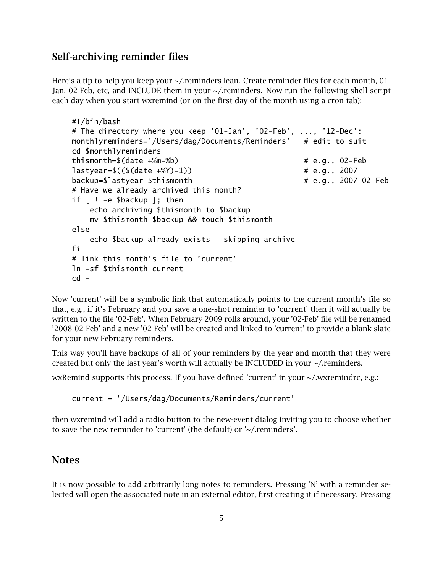# Self-archiving reminder files

Here's a tip to help you keep your  $\sim$ /.reminders lean. Create reminder files for each month, 01-Jan, 02-Feb, etc, and INCLUDE them in your ~/.reminders. Now run the following shell script each day when you start wxremind (or on the first day of the month using a cron tab):

```
#!/bin/bash
# The directory where you keep '01-Jan', '02-Feb', ..., '12-Dec':
monthlyreminders='/Users/dag/Documents/Reminders' # edit to suit
cd $monthlyreminders
thismonth=$(date +%m-%b) # e.g., 02-Feb
lastyear=$(($(date +%Y)-1)) # e.g., 2007
backup=$lastyear-$thismonth # e.g., 2007-02-Feb
# Have we already archived this month?
if [ ! -e $backup ]; then
   echo archiving $thismonth to $backup
   mv $thismonth $backup && touch $thismonth
else
   echo $backup already exists - skipping archive
fi
# link this month's file to 'current'
ln -sf $thismonth current
cd -
```
Now 'current' will be a symbolic link that automatically points to the current month's file so that, e.g., if it's February and you save a one-shot reminder to 'current' then it will actually be written to the file '02-Feb'. When February 2009 rolls around, your '02-Feb' file will be renamed '2008-02-Feb' and a new '02-Feb' will be created and linked to 'current' to provide a blank slate for your new February reminders.

This way you'll have backups of all of your reminders by the year and month that they were created but only the last year's worth will actually be INCLUDED in your  $\sim$ /.reminders.

wxRemind supports this process. If you have defined 'current' in your ~/.wxremindrc, e.g.:

current = '/Users/dag/Documents/Reminders/current'

<span id="page-4-0"></span>then wxremind will add a radio button to the new-event dialog inviting you to choose whether to save the new reminder to 'current' (the default) or '~/.reminders'.

#### **Notes**

It is now possible to add arbitrarily long notes to reminders. Pressing 'N' with a reminder selected will open the associated note in an external editor, first creating it if necessary. Pressing